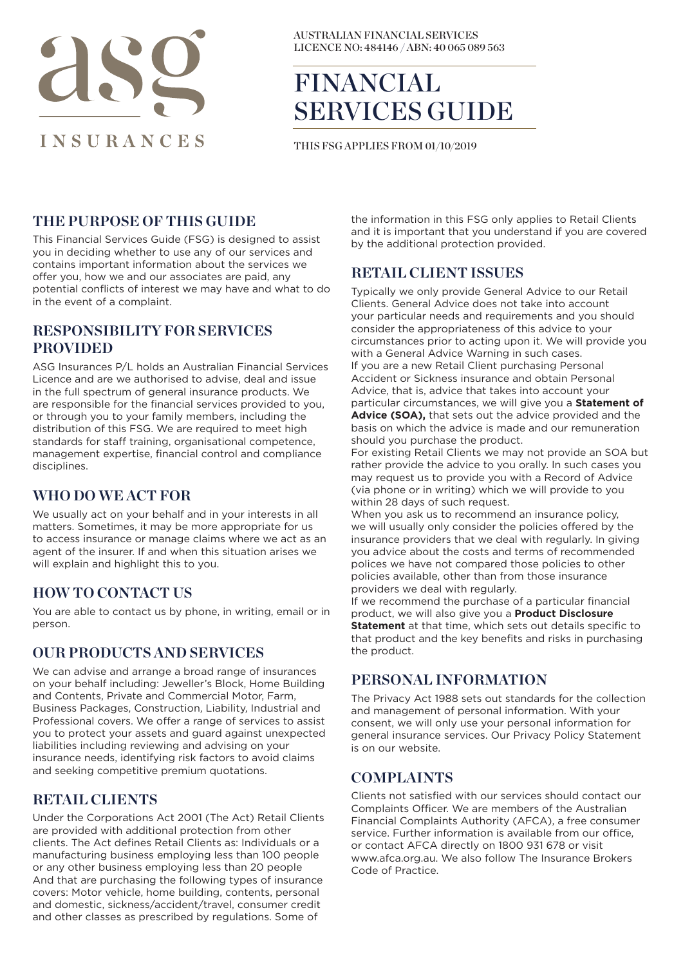

AUSTRALIAN FINANCIAL SERVICES LICENCE NO: 484146 / ABN: 40 065 089 563

# FINANCIAL SERVICES GUIDE

THIS FSG APPLIES FROM 01/10/2019

### **THE PURPOSE OF THIS GUIDE**

This Financial Services Guide (FSG) is designed to assist you in deciding whether to use any of our services and contains important information about the services we offer you, how we and our associates are paid, any potential conflicts of interest we may have and what to do in the event of a complaint.

#### **RESPONSIBILITY FOR SERVICES PROVIDED**

ASG Insurances P/L holds an Australian Financial Services Licence and are we authorised to advise, deal and issue in the full spectrum of general insurance products. We are responsible for the financial services provided to you, or through you to your family members, including the distribution of this FSG. We are required to meet high standards for staff training, organisational competence, management expertise, financial control and compliance disciplines.

#### **WHO DO WE ACT FOR**

We usually act on your behalf and in your interests in all matters. Sometimes, it may be more appropriate for us to access insurance or manage claims where we act as an agent of the insurer. If and when this situation arises we will explain and highlight this to you.

#### **HOW TO CONTACT US**

You are able to contact us by phone, in writing, email or in person.

#### **OUR PRODUCTS AND SERVICES**

We can advise and arrange a broad range of insurances on your behalf including: Jeweller's Block, Home Building and Contents, Private and Commercial Motor, Farm, Business Packages, Construction, Liability, Industrial and Professional covers. We offer a range of services to assist you to protect your assets and guard against unexpected liabilities including reviewing and advising on your insurance needs, identifying risk factors to avoid claims and seeking competitive premium quotations.

# **RETAIL CLIENTS**

Under the Corporations Act 2001 (The Act) Retail Clients are provided with additional protection from other clients. The Act defines Retail Clients as: Individuals or a manufacturing business employing less than 100 people or any other business employing less than 20 people And that are purchasing the following types of insurance covers: Motor vehicle, home building, contents, personal and domestic, sickness/accident/travel, consumer credit and other classes as prescribed by regulations. Some of

the information in this FSG only applies to Retail Clients and it is important that you understand if you are covered by the additional protection provided.

#### **RETAIL CLIENT ISSUES**

Typically we only provide General Advice to our Retail Clients. General Advice does not take into account your particular needs and requirements and you should consider the appropriateness of this advice to your circumstances prior to acting upon it. We will provide you with a General Advice Warning in such cases. If you are a new Retail Client purchasing Personal Accident or Sickness insurance and obtain Personal Advice, that is, advice that takes into account your particular circumstances, we will give you a **Statement of Advice (SOA),** that sets out the advice provided and the basis on which the advice is made and our remuneration should you purchase the product.

For existing Retail Clients we may not provide an SOA but rather provide the advice to you orally. In such cases you may request us to provide you with a Record of Advice (via phone or in writing) which we will provide to you within 28 days of such request.

When you ask us to recommend an insurance policy, we will usually only consider the policies offered by the insurance providers that we deal with regularly. In giving you advice about the costs and terms of recommended polices we have not compared those policies to other policies available, other than from those insurance providers we deal with regularly.

If we recommend the purchase of a particular financial product, we will also give you a **Product Disclosure Statement** at that time, which sets out details specific to that product and the key benefits and risks in purchasing the product.

#### **PERSONAL INFORMATION**

The Privacy Act 1988 sets out standards for the collection and management of personal information. With your consent, we will only use your personal information for general insurance services. Our Privacy Policy Statement is on our website.

#### **COMPLAINTS**

Clients not satisfied with our services should contact our Complaints Officer. We are members of the Australian Financial Complaints Authority (AFCA), a free consumer service. Further information is available from our office, or contact AFCA directly on 1800 931 678 or visit www.afca.org.au. We also follow The Insurance Brokers Code of Practice.